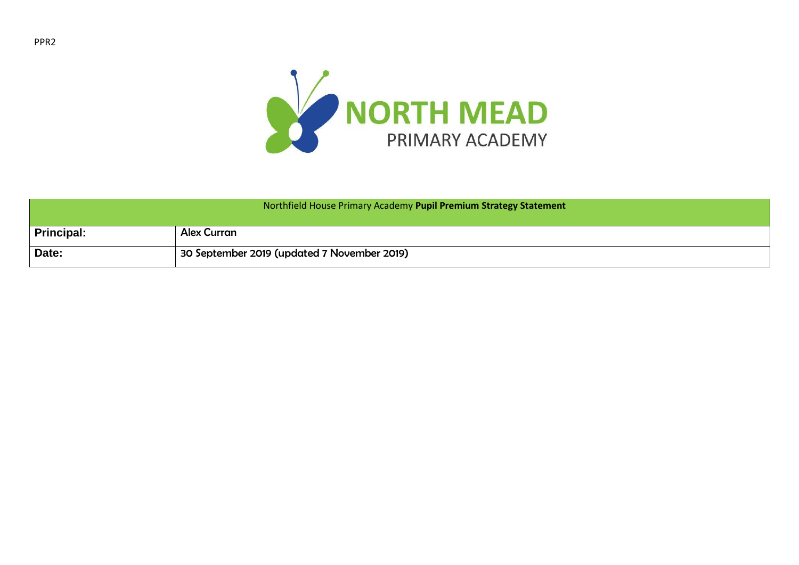

| Northfield House Primary Academy Pupil Premium Strategy Statement |                                             |  |
|-------------------------------------------------------------------|---------------------------------------------|--|
| <b>Principal:</b>                                                 | <b>Alex Curran</b>                          |  |
| Date:                                                             | 30 September 2019 (updated 7 November 2019) |  |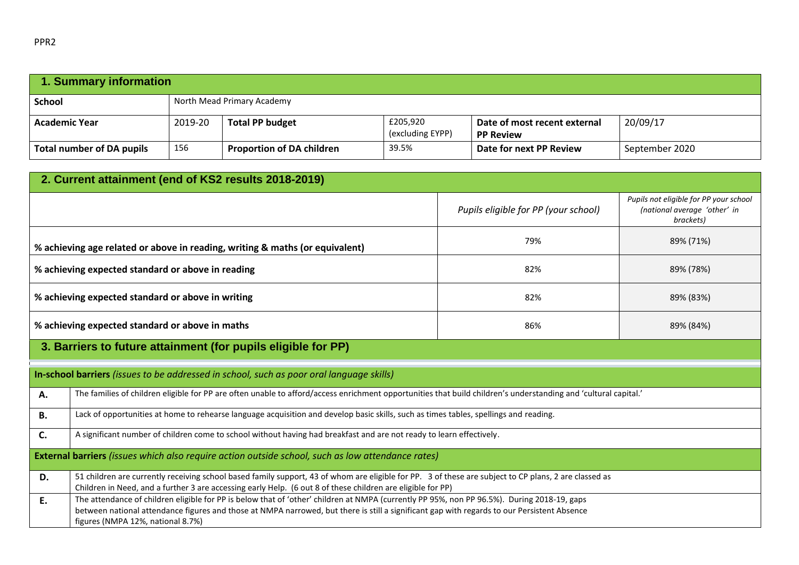| 1. Summary information           |         |                                  |                              |                                                  |                |  |
|----------------------------------|---------|----------------------------------|------------------------------|--------------------------------------------------|----------------|--|
| <b>School</b>                    |         | North Mead Primary Academy       |                              |                                                  |                |  |
| <b>Academic Year</b>             | 2019-20 | <b>Total PP budget</b>           | £205,920<br>(excluding EYPP) | Date of most recent external<br><b>PP Review</b> | 20/09/17       |  |
| <b>Total number of DA pupils</b> | 156     | <b>Proportion of DA children</b> | 39.5%                        | Date for next PP Review                          | September 2020 |  |

| 2. Current attainment (end of KS2 results 2018-2019)                                                                                                                                                                                                                                                                                  |                                                                                                                                                                 |                                      |                                                                                     |  |  |
|---------------------------------------------------------------------------------------------------------------------------------------------------------------------------------------------------------------------------------------------------------------------------------------------------------------------------------------|-----------------------------------------------------------------------------------------------------------------------------------------------------------------|--------------------------------------|-------------------------------------------------------------------------------------|--|--|
|                                                                                                                                                                                                                                                                                                                                       |                                                                                                                                                                 | Pupils eligible for PP (your school) | Pupils not eligible for PP your school<br>(national average 'other' in<br>brackets) |  |  |
|                                                                                                                                                                                                                                                                                                                                       | % achieving age related or above in reading, writing & maths (or equivalent)                                                                                    | 79%                                  | 89% (71%)                                                                           |  |  |
|                                                                                                                                                                                                                                                                                                                                       | % achieving expected standard or above in reading                                                                                                               | 82%                                  | 89% (78%)                                                                           |  |  |
|                                                                                                                                                                                                                                                                                                                                       | % achieving expected standard or above in writing                                                                                                               | 82%                                  | 89% (83%)                                                                           |  |  |
|                                                                                                                                                                                                                                                                                                                                       | % achieving expected standard or above in maths                                                                                                                 | 86%                                  | 89% (84%)                                                                           |  |  |
|                                                                                                                                                                                                                                                                                                                                       | 3. Barriers to future attainment (for pupils eligible for PP)                                                                                                   |                                      |                                                                                     |  |  |
|                                                                                                                                                                                                                                                                                                                                       | In-school barriers (issues to be addressed in school, such as poor oral language skills)                                                                        |                                      |                                                                                     |  |  |
| А.                                                                                                                                                                                                                                                                                                                                    | The families of children eligible for PP are often unable to afford/access enrichment opportunities that build children's understanding and 'cultural capital.' |                                      |                                                                                     |  |  |
| <b>B.</b>                                                                                                                                                                                                                                                                                                                             | Lack of opportunities at home to rehearse language acquisition and develop basic skills, such as times tables, spellings and reading.                           |                                      |                                                                                     |  |  |
| C.                                                                                                                                                                                                                                                                                                                                    | A significant number of children come to school without having had breakfast and are not ready to learn effectively.                                            |                                      |                                                                                     |  |  |
| External barriers (issues which also require action outside school, such as low attendance rates)                                                                                                                                                                                                                                     |                                                                                                                                                                 |                                      |                                                                                     |  |  |
| 51 children are currently receiving school based family support, 43 of whom are eligible for PP. 3 of these are subject to CP plans, 2 are classed as<br>D.<br>Children in Need, and a further 3 are accessing early Help. (6 out 8 of these children are eligible for PP)                                                            |                                                                                                                                                                 |                                      |                                                                                     |  |  |
| The attendance of children eligible for PP is below that of 'other' children at NMPA (currently PP 95%, non PP 96.5%). During 2018-19, gaps<br>Ε.<br>between national attendance figures and those at NMPA narrowed, but there is still a significant gap with regards to our Persistent Absence<br>figures (NMPA 12%, national 8.7%) |                                                                                                                                                                 |                                      |                                                                                     |  |  |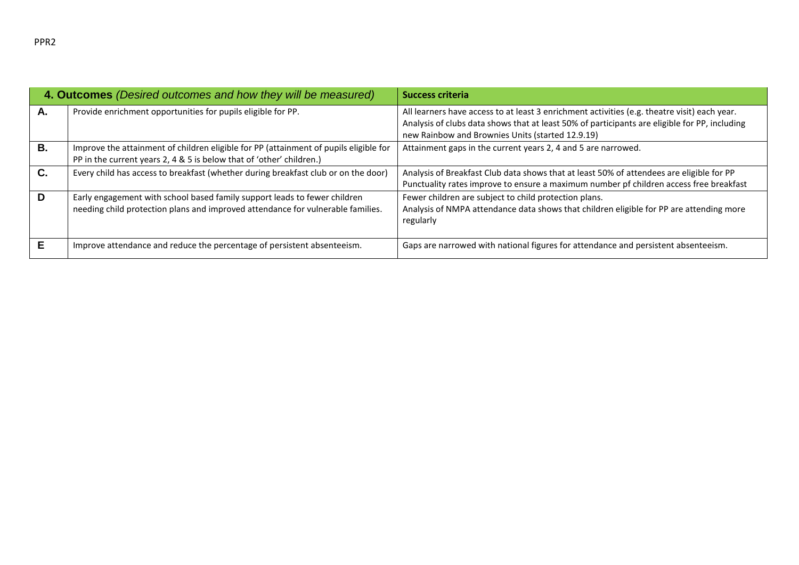| 4. Outcomes (Desired outcomes and how they will be measured) |                                                                                                                                                               | <b>Success criteria</b>                                                                                                                                                                                                                           |  |  |
|--------------------------------------------------------------|---------------------------------------------------------------------------------------------------------------------------------------------------------------|---------------------------------------------------------------------------------------------------------------------------------------------------------------------------------------------------------------------------------------------------|--|--|
| А.                                                           | Provide enrichment opportunities for pupils eligible for PP.                                                                                                  | All learners have access to at least 3 enrichment activities (e.g. theatre visit) each year.<br>Analysis of clubs data shows that at least 50% of participants are eligible for PP, including<br>new Rainbow and Brownies Units (started 12.9.19) |  |  |
| В.                                                           | Improve the attainment of children eligible for PP (attainment of pupils eligible for<br>PP in the current years 2, 4 & 5 is below that of 'other' children.) | Attainment gaps in the current years 2, 4 and 5 are narrowed.                                                                                                                                                                                     |  |  |
| C.                                                           | Every child has access to breakfast (whether during breakfast club or on the door)                                                                            | Analysis of Breakfast Club data shows that at least 50% of attendees are eligible for PP<br>Punctuality rates improve to ensure a maximum number pf children access free breakfast                                                                |  |  |
| D                                                            | Early engagement with school based family support leads to fewer children<br>needing child protection plans and improved attendance for vulnerable families.  | Fewer children are subject to child protection plans.<br>Analysis of NMPA attendance data shows that children eligible for PP are attending more<br>regularly                                                                                     |  |  |
| Е                                                            | Improve attendance and reduce the percentage of persistent absenteeism.                                                                                       | Gaps are narrowed with national figures for attendance and persistent absenteeism.                                                                                                                                                                |  |  |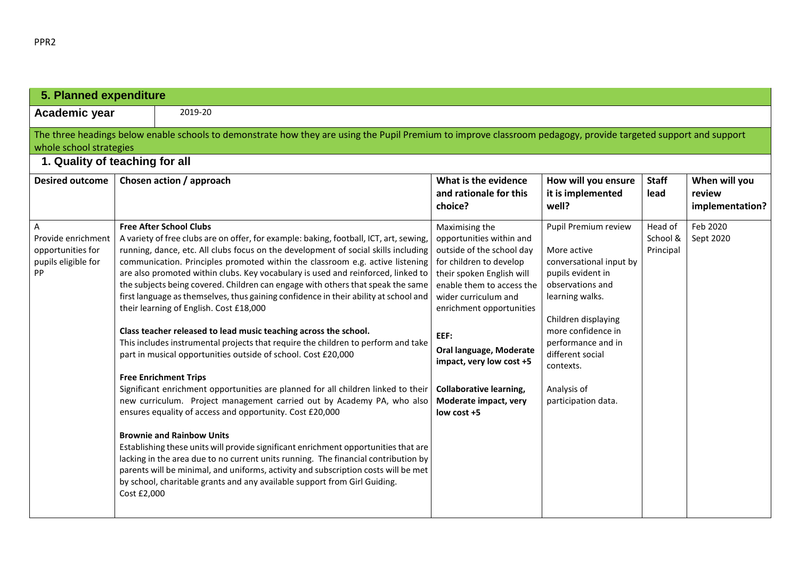| 5. Planned expenditure                                                           |                                                                                                                                                                                                                                                                                                                                                                                                                                                                                                                                                                                                                                                                                                                                                                                                                                                                                                                                                                                                                                                                                                                                                                                                                                                                                                                                                                                                                                                                                                   |                                                                                                                                                                                                                                                                                                                                                           |                                                                                                                                                                                                                                                                      |                                  |                                            |
|----------------------------------------------------------------------------------|---------------------------------------------------------------------------------------------------------------------------------------------------------------------------------------------------------------------------------------------------------------------------------------------------------------------------------------------------------------------------------------------------------------------------------------------------------------------------------------------------------------------------------------------------------------------------------------------------------------------------------------------------------------------------------------------------------------------------------------------------------------------------------------------------------------------------------------------------------------------------------------------------------------------------------------------------------------------------------------------------------------------------------------------------------------------------------------------------------------------------------------------------------------------------------------------------------------------------------------------------------------------------------------------------------------------------------------------------------------------------------------------------------------------------------------------------------------------------------------------------|-----------------------------------------------------------------------------------------------------------------------------------------------------------------------------------------------------------------------------------------------------------------------------------------------------------------------------------------------------------|----------------------------------------------------------------------------------------------------------------------------------------------------------------------------------------------------------------------------------------------------------------------|----------------------------------|--------------------------------------------|
| Academic year                                                                    | 2019-20                                                                                                                                                                                                                                                                                                                                                                                                                                                                                                                                                                                                                                                                                                                                                                                                                                                                                                                                                                                                                                                                                                                                                                                                                                                                                                                                                                                                                                                                                           |                                                                                                                                                                                                                                                                                                                                                           |                                                                                                                                                                                                                                                                      |                                  |                                            |
| whole school strategies                                                          | The three headings below enable schools to demonstrate how they are using the Pupil Premium to improve classroom pedagogy, provide targeted support and support<br>1. Quality of teaching for all                                                                                                                                                                                                                                                                                                                                                                                                                                                                                                                                                                                                                                                                                                                                                                                                                                                                                                                                                                                                                                                                                                                                                                                                                                                                                                 |                                                                                                                                                                                                                                                                                                                                                           |                                                                                                                                                                                                                                                                      |                                  |                                            |
| <b>Desired outcome</b>                                                           | Chosen action / approach                                                                                                                                                                                                                                                                                                                                                                                                                                                                                                                                                                                                                                                                                                                                                                                                                                                                                                                                                                                                                                                                                                                                                                                                                                                                                                                                                                                                                                                                          | What is the evidence<br>and rationale for this<br>choice?                                                                                                                                                                                                                                                                                                 | How will you ensure<br>it is implemented<br>well?                                                                                                                                                                                                                    | <b>Staff</b><br>lead             | When will you<br>review<br>implementation? |
| A<br>Provide enrichment<br>opportunities for<br>pupils eligible for<br><b>PP</b> | <b>Free After School Clubs</b><br>A variety of free clubs are on offer, for example: baking, football, ICT, art, sewing,<br>running, dance, etc. All clubs focus on the development of social skills including<br>communication. Principles promoted within the classroom e.g. active listening<br>are also promoted within clubs. Key vocabulary is used and reinforced, linked to<br>the subjects being covered. Children can engage with others that speak the same<br>first language as themselves, thus gaining confidence in their ability at school and<br>their learning of English. Cost £18,000<br>Class teacher released to lead music teaching across the school.<br>This includes instrumental projects that require the children to perform and take<br>part in musical opportunities outside of school. Cost £20,000<br><b>Free Enrichment Trips</b><br>Significant enrichment opportunities are planned for all children linked to their<br>new curriculum. Project management carried out by Academy PA, who also<br>ensures equality of access and opportunity. Cost £20,000<br><b>Brownie and Rainbow Units</b><br>Establishing these units will provide significant enrichment opportunities that are<br>lacking in the area due to no current units running. The financial contribution by<br>parents will be minimal, and uniforms, activity and subscription costs will be met<br>by school, charitable grants and any available support from Girl Guiding.<br>Cost £2,000 | Maximising the<br>opportunities within and<br>outside of the school day<br>for children to develop<br>their spoken English will<br>enable them to access the<br>wider curriculum and<br>enrichment opportunities<br>EEF:<br>Oral language, Moderate<br>impact, very low cost +5<br><b>Collaborative learning,</b><br>Moderate impact, very<br>low cost +5 | Pupil Premium review<br>More active<br>conversational input by<br>pupils evident in<br>observations and<br>learning walks.<br>Children displaying<br>more confidence in<br>performance and in<br>different social<br>contexts.<br>Analysis of<br>participation data. | Head of<br>School &<br>Principal | Feb 2020<br>Sept 2020                      |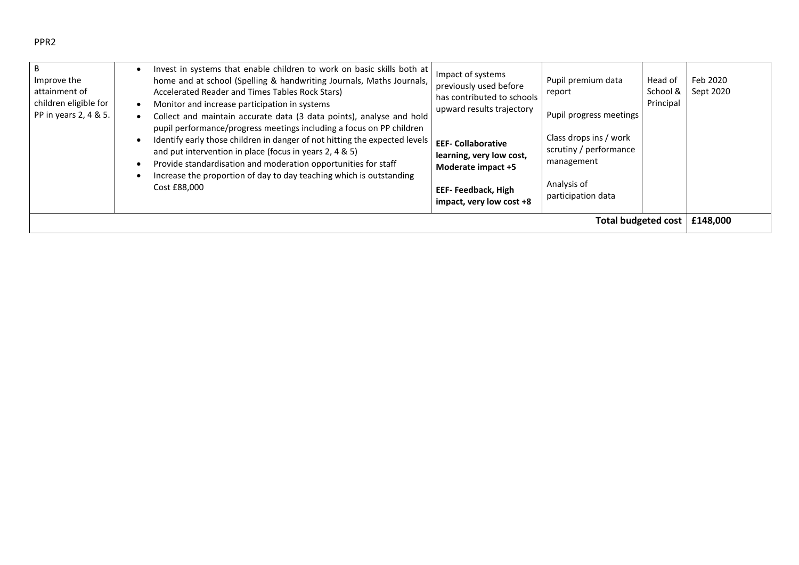| Improve the<br>attainment of<br>children eligible for<br>PP in years 2, 4 & 5. | Invest in systems that enable children to work on basic skills both at<br>home and at school (Spelling & handwriting Journals, Maths Journals,<br>Accelerated Reader and Times Tables Rock Stars)<br>Monitor and increase participation in systems<br>Collect and maintain accurate data (3 data points), analyse and hold<br>pupil performance/progress meetings including a focus on PP children<br>Identify early those children in danger of not hitting the expected levels<br>and put intervention in place (focus in years 2, 4 & 5)<br>Provide standardisation and moderation opportunities for staff<br>Increase the proportion of day to day teaching which is outstanding<br>Cost £88,000 | Impact of systems<br>previously used before<br>has contributed to schools<br>upward results trajectory<br><b>EEF- Collaborative</b><br>learning, very low cost,<br>Moderate impact +5<br><b>EEF-Feedback, High</b><br>impact, very low cost +8 | Pupil premium data<br>report<br>Pupil progress meetings<br>Class drops ins / work<br>scrutiny / performance<br>management<br>Analysis of<br>participation data | Head of<br>School &<br>Principal | Feb 2020<br>Sept 2020 |
|--------------------------------------------------------------------------------|------------------------------------------------------------------------------------------------------------------------------------------------------------------------------------------------------------------------------------------------------------------------------------------------------------------------------------------------------------------------------------------------------------------------------------------------------------------------------------------------------------------------------------------------------------------------------------------------------------------------------------------------------------------------------------------------------|------------------------------------------------------------------------------------------------------------------------------------------------------------------------------------------------------------------------------------------------|----------------------------------------------------------------------------------------------------------------------------------------------------------------|----------------------------------|-----------------------|
| <b>Total budgeted cost</b>                                                     |                                                                                                                                                                                                                                                                                                                                                                                                                                                                                                                                                                                                                                                                                                      |                                                                                                                                                                                                                                                |                                                                                                                                                                |                                  | £148,000              |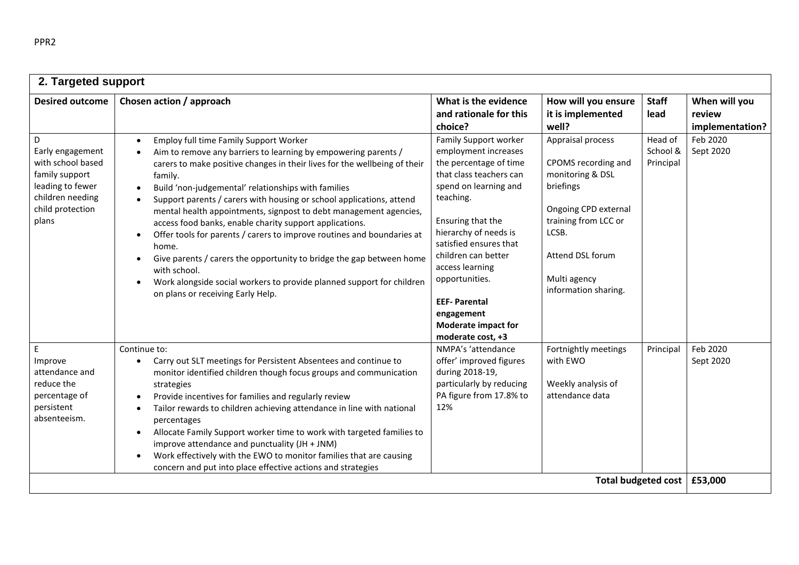| 2. Targeted support                                                                                                               |                                                                                                                                                                                                                                                                                                                                                                                                                                                                                                                                                                                                                                                                                                                                                                                                                           |                                                                                                                                                                                                                                                                                                                                                                      |                                                                                                                                                                                                |                                  |                                            |
|-----------------------------------------------------------------------------------------------------------------------------------|---------------------------------------------------------------------------------------------------------------------------------------------------------------------------------------------------------------------------------------------------------------------------------------------------------------------------------------------------------------------------------------------------------------------------------------------------------------------------------------------------------------------------------------------------------------------------------------------------------------------------------------------------------------------------------------------------------------------------------------------------------------------------------------------------------------------------|----------------------------------------------------------------------------------------------------------------------------------------------------------------------------------------------------------------------------------------------------------------------------------------------------------------------------------------------------------------------|------------------------------------------------------------------------------------------------------------------------------------------------------------------------------------------------|----------------------------------|--------------------------------------------|
| <b>Desired outcome</b>                                                                                                            | Chosen action / approach                                                                                                                                                                                                                                                                                                                                                                                                                                                                                                                                                                                                                                                                                                                                                                                                  | What is the evidence<br>and rationale for this<br>choice?                                                                                                                                                                                                                                                                                                            | How will you ensure<br>it is implemented<br>well?                                                                                                                                              | <b>Staff</b><br>lead             | When will you<br>review<br>implementation? |
| D<br>Early engagement<br>with school based<br>family support<br>leading to fewer<br>children needing<br>child protection<br>plans | Employ full time Family Support Worker<br>$\bullet$<br>Aim to remove any barriers to learning by empowering parents /<br>carers to make positive changes in their lives for the wellbeing of their<br>family.<br>Build 'non-judgemental' relationships with families<br>$\bullet$<br>Support parents / carers with housing or school applications, attend<br>mental health appointments, signpost to debt management agencies,<br>access food banks, enable charity support applications.<br>Offer tools for parents / carers to improve routines and boundaries at<br>$\bullet$<br>home.<br>Give parents / carers the opportunity to bridge the gap between home<br>$\bullet$<br>with school.<br>Work alongside social workers to provide planned support for children<br>$\bullet$<br>on plans or receiving Early Help. | Family Support worker<br>employment increases<br>the percentage of time<br>that class teachers can<br>spend on learning and<br>teaching.<br>Ensuring that the<br>hierarchy of needs is<br>satisfied ensures that<br>children can better<br>access learning<br>opportunities.<br><b>EEF-Parental</b><br>engagement<br><b>Moderate impact for</b><br>moderate cost, +3 | Appraisal process<br>CPOMS recording and<br>monitoring & DSL<br>briefings<br>Ongoing CPD external<br>training from LCC or<br>LCSB.<br>Attend DSL forum<br>Multi agency<br>information sharing. | Head of<br>School &<br>Principal | Feb 2020<br>Sept 2020                      |
| E.<br>Improve<br>attendance and<br>reduce the<br>percentage of<br>persistent<br>absenteeism.                                      | Continue to:<br>Carry out SLT meetings for Persistent Absentees and continue to<br>$\bullet$<br>monitor identified children though focus groups and communication<br>strategies<br>Provide incentives for families and regularly review<br>Tailor rewards to children achieving attendance in line with national<br>percentages<br>Allocate Family Support worker time to work with targeted families to<br>$\bullet$<br>improve attendance and punctuality (JH + JNM)<br>Work effectively with the EWO to monitor families that are causing<br>$\bullet$<br>concern and put into place effective actions and strategies                                                                                                                                                                                                  | NMPA's 'attendance<br>offer' improved figures<br>during 2018-19,<br>particularly by reducing<br>PA figure from 17.8% to<br>12%                                                                                                                                                                                                                                       | Fortnightly meetings<br>with EWO<br>Weekly analysis of<br>attendance data                                                                                                                      | Principal                        | Feb 2020<br>Sept 2020                      |
|                                                                                                                                   |                                                                                                                                                                                                                                                                                                                                                                                                                                                                                                                                                                                                                                                                                                                                                                                                                           |                                                                                                                                                                                                                                                                                                                                                                      | <b>Total budgeted cost</b>                                                                                                                                                                     |                                  | £53,000                                    |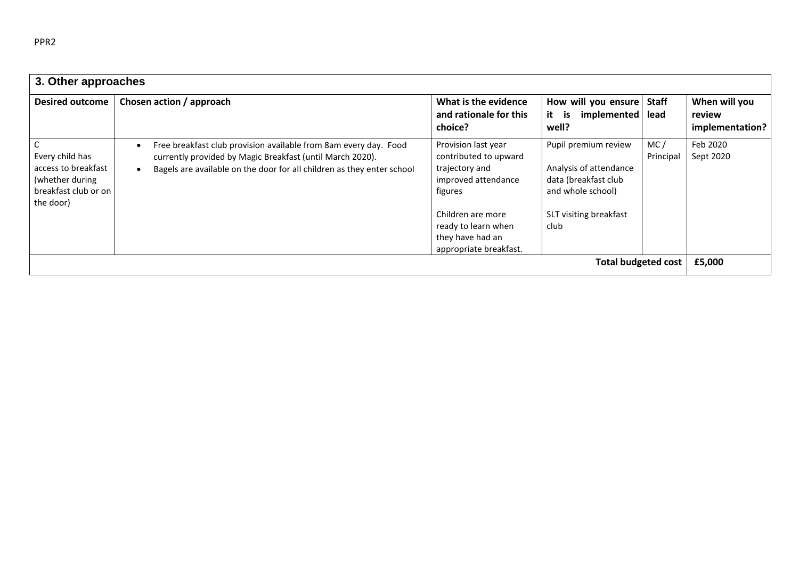| 3. Other approaches                                                                            |                                                                                                                                                                                                         |                                                                                                                                                                                            |                                                                                                                               |                      |                                            |
|------------------------------------------------------------------------------------------------|---------------------------------------------------------------------------------------------------------------------------------------------------------------------------------------------------------|--------------------------------------------------------------------------------------------------------------------------------------------------------------------------------------------|-------------------------------------------------------------------------------------------------------------------------------|----------------------|--------------------------------------------|
| <b>Desired outcome</b>                                                                         | Chosen action / approach                                                                                                                                                                                | What is the evidence<br>and rationale for this<br>choice?                                                                                                                                  | How will you ensure<br>it<br>implemented<br>is<br>well?                                                                       | <b>Staff</b><br>lead | When will you<br>review<br>implementation? |
| Every child has<br>access to breakfast<br>(whether during<br>breakfast club or on<br>the door) | Free breakfast club provision available from 8am every day. Food<br>currently provided by Magic Breakfast (until March 2020).<br>Bagels are available on the door for all children as they enter school | Provision last year<br>contributed to upward<br>trajectory and<br>improved attendance<br>figures<br>Children are more<br>ready to learn when<br>they have had an<br>appropriate breakfast. | Pupil premium review<br>Analysis of attendance<br>data (breakfast club<br>and whole school)<br>SLT visiting breakfast<br>club | MC/<br>Principal     | Feb 2020<br>Sept 2020                      |
|                                                                                                |                                                                                                                                                                                                         |                                                                                                                                                                                            | <b>Total budgeted cost</b>                                                                                                    |                      | £5,000                                     |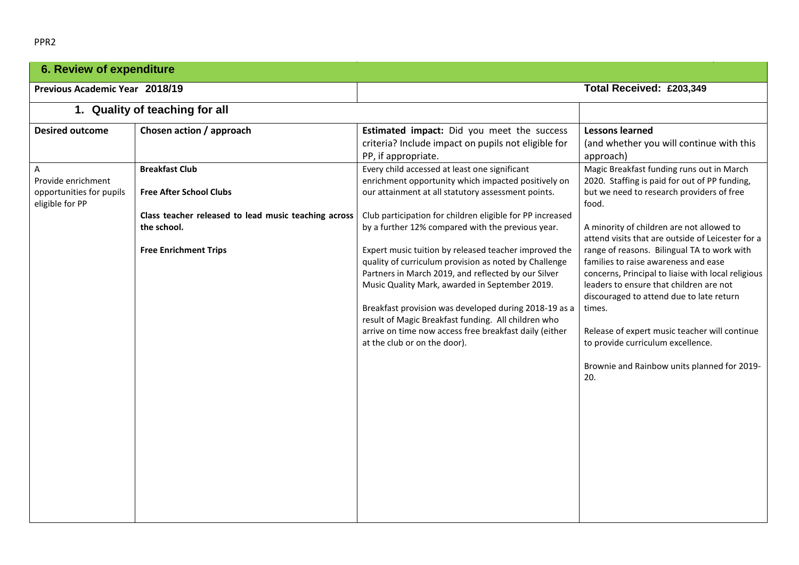|--|

| <b>6. Review of expenditure</b>                                                                  |                                                                                                                                                                                            |                                                                                                                                                                                                                                                                                                                                                                                                                                                                                                                                                                                                                                                                                                                                                                                                                                               |                                                                                                                                                                                                                                                                                                                                                                                                                                                                                                                                                                                                                                                                                                                                 |  |  |
|--------------------------------------------------------------------------------------------------|--------------------------------------------------------------------------------------------------------------------------------------------------------------------------------------------|-----------------------------------------------------------------------------------------------------------------------------------------------------------------------------------------------------------------------------------------------------------------------------------------------------------------------------------------------------------------------------------------------------------------------------------------------------------------------------------------------------------------------------------------------------------------------------------------------------------------------------------------------------------------------------------------------------------------------------------------------------------------------------------------------------------------------------------------------|---------------------------------------------------------------------------------------------------------------------------------------------------------------------------------------------------------------------------------------------------------------------------------------------------------------------------------------------------------------------------------------------------------------------------------------------------------------------------------------------------------------------------------------------------------------------------------------------------------------------------------------------------------------------------------------------------------------------------------|--|--|
| Previous Academic Year 2018/19                                                                   |                                                                                                                                                                                            |                                                                                                                                                                                                                                                                                                                                                                                                                                                                                                                                                                                                                                                                                                                                                                                                                                               | Total Received: £203,349                                                                                                                                                                                                                                                                                                                                                                                                                                                                                                                                                                                                                                                                                                        |  |  |
|                                                                                                  | 1. Quality of teaching for all                                                                                                                                                             |                                                                                                                                                                                                                                                                                                                                                                                                                                                                                                                                                                                                                                                                                                                                                                                                                                               |                                                                                                                                                                                                                                                                                                                                                                                                                                                                                                                                                                                                                                                                                                                                 |  |  |
| <b>Desired outcome</b><br>A<br>Provide enrichment<br>opportunities for pupils<br>eligible for PP | Chosen action / approach<br><b>Breakfast Club</b><br><b>Free After School Clubs</b><br>Class teacher released to lead music teaching across<br>the school.<br><b>Free Enrichment Trips</b> | Estimated impact: Did you meet the success<br>criteria? Include impact on pupils not eligible for<br>PP, if appropriate.<br>Every child accessed at least one significant<br>enrichment opportunity which impacted positively on<br>our attainment at all statutory assessment points.<br>Club participation for children eligible for PP increased<br>by a further 12% compared with the previous year.<br>Expert music tuition by released teacher improved the<br>quality of curriculum provision as noted by Challenge<br>Partners in March 2019, and reflected by our Silver<br>Music Quality Mark, awarded in September 2019.<br>Breakfast provision was developed during 2018-19 as a<br>result of Magic Breakfast funding. All children who<br>arrive on time now access free breakfast daily (either<br>at the club or on the door). | <b>Lessons learned</b><br>(and whether you will continue with this<br>approach)<br>Magic Breakfast funding runs out in March<br>2020. Staffing is paid for out of PP funding,<br>but we need to research providers of free<br>food.<br>A minority of children are not allowed to<br>attend visits that are outside of Leicester for a<br>range of reasons. Bilingual TA to work with<br>families to raise awareness and ease<br>concerns, Principal to liaise with local religious<br>leaders to ensure that children are not<br>discouraged to attend due to late return<br>times.<br>Release of expert music teacher will continue<br>to provide curriculum excellence.<br>Brownie and Rainbow units planned for 2019-<br>20. |  |  |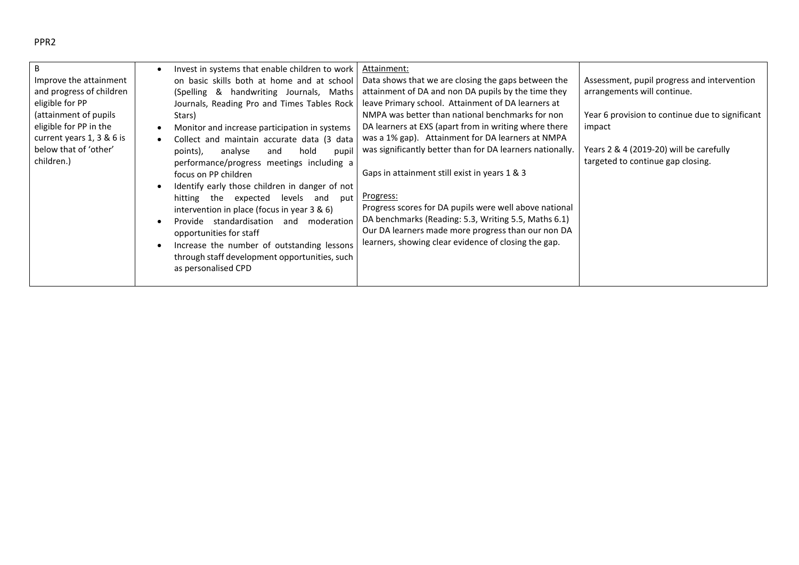## PPR2

| B.<br>Improve the attainment<br>and progress of children<br>eligible for PP<br>(attainment of pupils)<br>eligible for PP in the<br>current years $1, 3 \& 6$ is<br>below that of 'other'<br>children.) | Invest in systems that enable children to work<br>on basic skills both at home and at school<br>(Spelling & handwriting Journals, Maths<br>Journals, Reading Pro and Times Tables Rock<br>Stars)<br>Monitor and increase participation in systems<br>Collect and maintain accurate data (3 data<br>$\bullet$<br>analyse<br>hold<br>points),<br>pupil<br>and<br>performance/progress meetings including a<br>focus on PP children<br>Identify early those children in danger of not<br>hitting the expected<br>levels<br>and<br>put<br>intervention in place (focus in year 3 & 6)<br>Provide standardisation<br>moderation<br>and<br>opportunities for staff<br>Increase the number of outstanding lessons<br>through staff development opportunities, such<br>as personalised CPD | Attainment:<br>Data shows that we are closing the gaps between the<br>attainment of DA and non DA pupils by the time they<br>leave Primary school. Attainment of DA learners at<br>NMPA was better than national benchmarks for non<br>DA learners at EXS (apart from in writing where there<br>was a 1% gap). Attainment for DA learners at NMPA<br>was significantly better than for DA learners nationally.<br>Gaps in attainment still exist in years 1 & 3<br><u>Progress:</u><br>Progress scores for DA pupils were well above national<br>DA benchmarks (Reading: 5.3, Writing 5.5, Maths 6.1)<br>Our DA learners made more progress than our non DA<br>learners, showing clear evidence of closing the gap. | Assessment, pupil progress and intervention<br>arrangements will continue.<br>Year 6 provision to continue due to significant<br>impact<br>Years $2 \& 4$ (2019-20) will be carefully<br>targeted to continue gap closing. |
|--------------------------------------------------------------------------------------------------------------------------------------------------------------------------------------------------------|------------------------------------------------------------------------------------------------------------------------------------------------------------------------------------------------------------------------------------------------------------------------------------------------------------------------------------------------------------------------------------------------------------------------------------------------------------------------------------------------------------------------------------------------------------------------------------------------------------------------------------------------------------------------------------------------------------------------------------------------------------------------------------|---------------------------------------------------------------------------------------------------------------------------------------------------------------------------------------------------------------------------------------------------------------------------------------------------------------------------------------------------------------------------------------------------------------------------------------------------------------------------------------------------------------------------------------------------------------------------------------------------------------------------------------------------------------------------------------------------------------------|----------------------------------------------------------------------------------------------------------------------------------------------------------------------------------------------------------------------------|
|--------------------------------------------------------------------------------------------------------------------------------------------------------------------------------------------------------|------------------------------------------------------------------------------------------------------------------------------------------------------------------------------------------------------------------------------------------------------------------------------------------------------------------------------------------------------------------------------------------------------------------------------------------------------------------------------------------------------------------------------------------------------------------------------------------------------------------------------------------------------------------------------------------------------------------------------------------------------------------------------------|---------------------------------------------------------------------------------------------------------------------------------------------------------------------------------------------------------------------------------------------------------------------------------------------------------------------------------------------------------------------------------------------------------------------------------------------------------------------------------------------------------------------------------------------------------------------------------------------------------------------------------------------------------------------------------------------------------------------|----------------------------------------------------------------------------------------------------------------------------------------------------------------------------------------------------------------------------|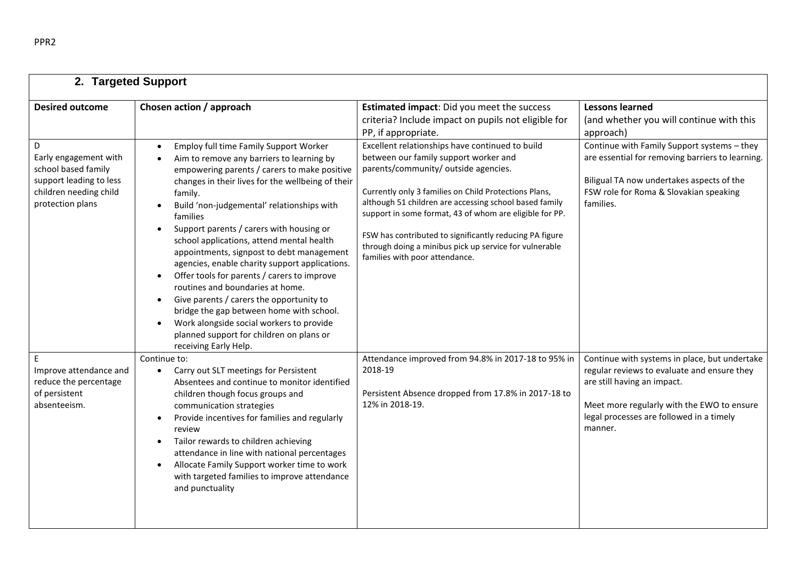| <b>Desired outcome</b>                                                                                                     | Chosen action / approach                                                                                                                                                                                                                                                                                                                                                                                                                                                                                                                                                                                                                                                                                                                                                                 | Estimated impact: Did you meet the success<br>criteria? Include impact on pupils not eligible for<br>PP, if appropriate.                                                                                                                                                                                                                                                                                                                                              | <b>Lessons learned</b><br>(and whether you will continue with this<br>approach)                                                                                                                                                  |
|----------------------------------------------------------------------------------------------------------------------------|------------------------------------------------------------------------------------------------------------------------------------------------------------------------------------------------------------------------------------------------------------------------------------------------------------------------------------------------------------------------------------------------------------------------------------------------------------------------------------------------------------------------------------------------------------------------------------------------------------------------------------------------------------------------------------------------------------------------------------------------------------------------------------------|-----------------------------------------------------------------------------------------------------------------------------------------------------------------------------------------------------------------------------------------------------------------------------------------------------------------------------------------------------------------------------------------------------------------------------------------------------------------------|----------------------------------------------------------------------------------------------------------------------------------------------------------------------------------------------------------------------------------|
| D<br>Early engagement with<br>school based family<br>support leading to less<br>children needing child<br>protection plans | Employ full time Family Support Worker<br>$\bullet$<br>Aim to remove any barriers to learning by<br>empowering parents / carers to make positive<br>changes in their lives for the wellbeing of their<br>family.<br>Build 'non-judgemental' relationships with<br>families<br>Support parents / carers with housing or<br>school applications, attend mental health<br>appointments, signpost to debt management<br>agencies, enable charity support applications.<br>Offer tools for parents / carers to improve<br>routines and boundaries at home.<br>Give parents / carers the opportunity to<br>$\bullet$<br>bridge the gap between home with school.<br>Work alongside social workers to provide<br>$\bullet$<br>planned support for children on plans or<br>receiving Early Help. | Excellent relationships have continued to build<br>between our family support worker and<br>parents/community/ outside agencies.<br>Currently only 3 families on Child Protections Plans,<br>although 51 children are accessing school based family<br>support in some format, 43 of whom are eligible for PP.<br>FSW has contributed to significantly reducing PA figure<br>through doing a minibus pick up service for vulnerable<br>families with poor attendance. | Continue with Family Support systems - they<br>are essential for removing barriers to learning.<br>Biligual TA now undertakes aspects of the<br>FSW role for Roma & Slovakian speaking<br>families.                              |
| E<br>Improve attendance and<br>reduce the percentage<br>of persistent<br>absenteeism.                                      | Continue to:<br>Carry out SLT meetings for Persistent<br>$\bullet$<br>Absentees and continue to monitor identified<br>children though focus groups and<br>communication strategies<br>Provide incentives for families and regularly<br>$\bullet$<br>review<br>Tailor rewards to children achieving<br>$\bullet$<br>attendance in line with national percentages<br>Allocate Family Support worker time to work<br>$\bullet$<br>with targeted families to improve attendance<br>and punctuality                                                                                                                                                                                                                                                                                           | Attendance improved from 94.8% in 2017-18 to 95% in<br>2018-19<br>Persistent Absence dropped from 17.8% in 2017-18 to<br>12% in 2018-19.                                                                                                                                                                                                                                                                                                                              | Continue with systems in place, but undertake<br>regular reviews to evaluate and ensure they<br>are still having an impact.<br>Meet more regularly with the EWO to ensure<br>legal processes are followed in a timely<br>manner. |